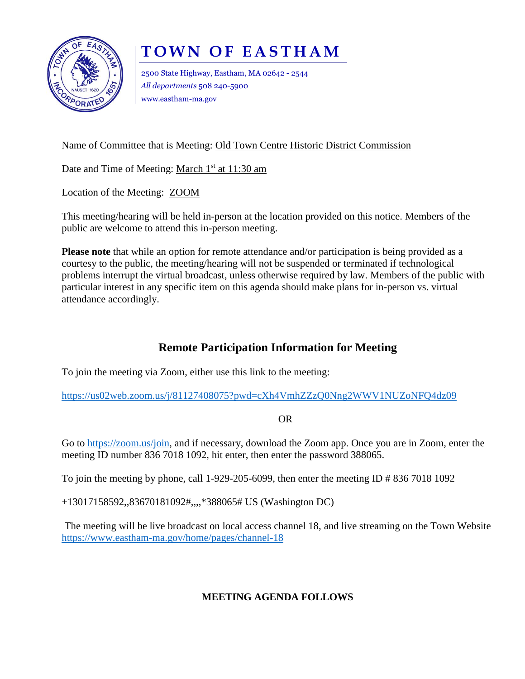

## **TOWN OF EASTHAM**

2500 State Highway, Eastham, MA 02642 - 2544 *All departments* 508 240-5900 www.eastham-ma.gov

Name of Committee that is Meeting: Old Town Centre Historic District Commission

Date and Time of Meeting: March 1<sup>st</sup> at 11:30 am

Location of the Meeting: ZOOM

This meeting/hearing will be held in-person at the location provided on this notice. Members of the public are welcome to attend this in-person meeting.

**Please note** that while an option for remote attendance and/or participation is being provided as a courtesy to the public, the meeting/hearing will not be suspended or terminated if technological problems interrupt the virtual broadcast, unless otherwise required by law. Members of the public with particular interest in any specific item on this agenda should make plans for in-person vs. virtual attendance accordingly.

## **Remote Participation Information for Meeting**

To join the meeting via Zoom, either use this link to the meeting:

<https://us02web.zoom.us/j/81127408075?pwd=cXh4VmhZZzQ0Nng2WWV1NUZoNFQ4dz09>

OR

Go to [https://zoom.us/join,](https://zoom.us/join) and if necessary, download the Zoom app. Once you are in Zoom, enter the meeting ID number 836 7018 1092, hit enter, then enter the password 388065.

To join the meeting by phone, call 1-929-205-6099, then enter the meeting ID  $\# 836 7018 1092$ 

+13017158592,,83670181092#,,,,\*388065# US (Washington DC)

The meeting will be live broadcast on local access channel 18, and live streaming on the Town Website <https://www.eastham-ma.gov/home/pages/channel-18>

## **MEETING AGENDA FOLLOWS**